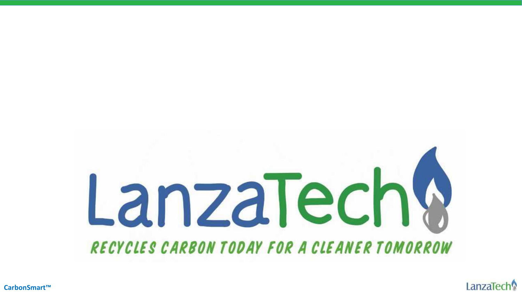

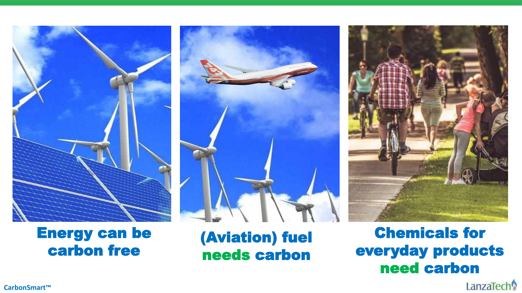





## Chemicals for everyday products need carbon

carbon free

(Aviation) fuel needs carbon

**CarbonSmart™**

LanzaTech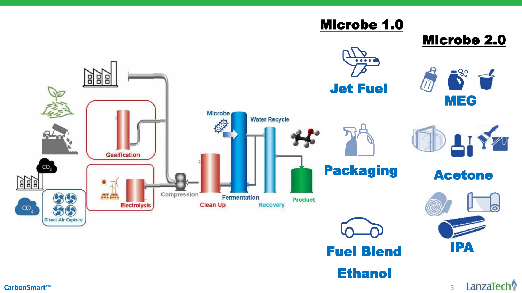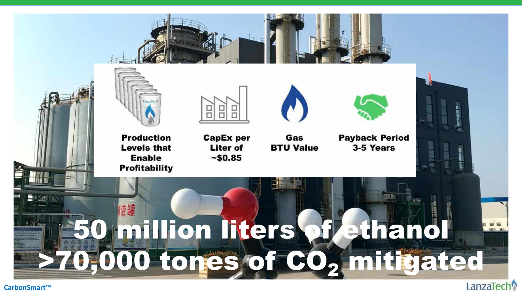

**Production Levels that Enable Profitability** 



**CapEx per Liter of**  $~150.85$ 



Gas



**Payback Period** 3-5 Years **BTU Value** 

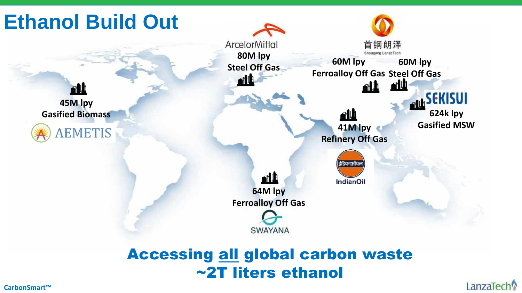

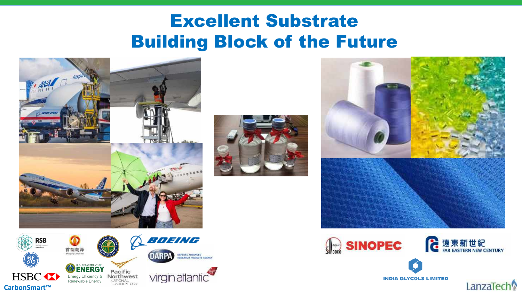# Excellent Substrate Building Block of the Future







**INDIA GLYCOLS LIMITED** 

LanzaTech

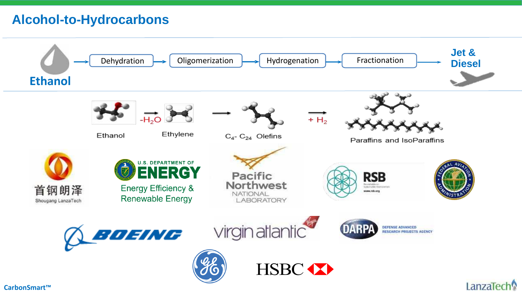## **Alcohol-to-Hydrocarbons**

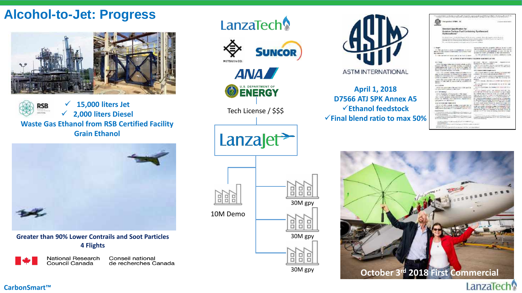### **Alcohol-to-Jet: Progress**



 **15,000 liters Jet RSB 2,000 liters Diesel Waste Gas Ethanol from RSB Certified Facility Grain Ethanol** 



**Greater than 90% Lower Contrails and Soot Particles 4 Flights** 

**National Research** Conseil national Council Canada de recherches Canada



LanzaTech



**ASTM INTERNATIONAL** 

**April 1, 2018 D7566 ATJ SPK Annex A5 Ethanol feedstock** 

|                                                                                                                                                                                                                                                                                                    | -----<br><b>East Tillian</b>                                                                                                                                                                                                                                                                             |
|----------------------------------------------------------------------------------------------------------------------------------------------------------------------------------------------------------------------------------------------------------------------------------------------------|----------------------------------------------------------------------------------------------------------------------------------------------------------------------------------------------------------------------------------------------------------------------------------------------------------|
| line gradual (2798) . 15                                                                                                                                                                                                                                                                           | 1. Analysis resume the series                                                                                                                                                                                                                                                                            |
| <b>Standard Specification for</b><br>Aviation Turbins Fuel Containing Synthesized<br>Hethocarbons <sup>1</sup>                                                                                                                                                                                     |                                                                                                                                                                                                                                                                                                          |
| committee about the to book the state of the state of the grant to an expension of the local con-<br>We cannot be a determination of the party and the first channel of the se-                                                                                                                    | Revolutions against the background of the terms around through the project of a result<br>provided their principle and disclosure the participants of the basic discussions are developed to the control of the                                                                                          |
| <b>Stage</b> <sup>2</sup><br>(4) This approximation current ray populations of environ-<br>NSC 1993 But French 12: WARENSHIELD MITSURES TAAA<br>protegorantic.<br>1. There are necessary to the product of the chance of them                                                                      | Intrinsic field and this supporter seems to also to see .<br>NAPTEN IN BART AND WATER TO CONTROLLED A CONTROL.<br>A 214 AGG M-St. and anyward in your 700 July 80.<br>MODEL OF TURN, SPERING, A' WHITE ROOM RIGHT<br>1.4. This synchronic research in the band of the charge                             |
|                                                                                                                                                                                                                                                                                                    | A 420 64 11 ST SHIPPLY HARDER SERVICE LITTLE.                                                                                                                                                                                                                                                            |
| ALL firms<br>7222 This many infant pleased at \$11,000.00 peed in-<br>mount (ATLTR) or a collute throughout collaboration<br>delays basked that increases in their assures and neglect. This<br>publications as the state car do not the commence on                                               | process checks constructed<br>comments and the<br><b>MONEYARD AT WELFARE CONTROL</b><br>And this control state of any memory constance and acces-<br>plant is a 4-f - closed by an experience of the rate presented company.                                                                             |
| Jessicologi (series) Palertak (widow<br>VALUE AND CONTINUES IN ALLENA, Independent and product of the term<br>part of the first part of a state in the control of the<br>Market of CLOSE trade of THE VI 13 Hours of R& Box 4106<br>streets in interestings with the maintains description in 1.6. | M.K. Bulletin Article, Magazinessen<br>ALC: Lak CAA if it incl. Nothing a commer that<br>contrast to the incurrences and pure afterd in 1984-AD F.<br>- Brind Info Autobalo - 4 particular fed angework relations<br>SEE IS ME STORY IT ADDRESS ROW BY FORDING OUT                                       |
| W41 Tig thing your in II will go to be regular as<br>being in Window and of Language and the regulated in the<br>a an and taleba<br><b>MAGNET</b>                                                                                                                                                  | <b>And Second</b><br>of 4.1.1 Decision, \$44,400 p.12 DAVID rate fund for 19<br>Birth.                                                                                                                                                                                                                   |
| mitras in<br>ARLE All approveds of the rest board life sporting<br>IP GOOD PARK? ELARMAIN IN IBM SOLP-                                                                                                                                                                                             | ALCOHOL CONTROL 104 Analysis (vision of the Land<br>EGELY WAY<br>AFTER Coch From Decisions this comm. \$100 to<br>4114.68                                                                                                                                                                                |
| L. L. BETWEENER<br>(1972) i filminista aj Parez Austrija (m. 1948-2004)<br>1971 - I Laurente de la regnador parezzato accordat con el<br>FELL TO ASSAULT planetics contrast, funds full sets with providence                                                                                       | ATTER FUELL PART AN MONO SPRINT DE<br>EUTOPIE XIR, STEMARY SUL AN AID PART ON JUNI CE BANK<br>this constant shall be work the country and countries and band<br>FMA-NOS ARTI Adentici constitution de la Garrangeat après à LAS<br>professional science in the control of the China state and state that |
| volar na seaway, voyo doctrinist responsable.<br>als greenhas are been analyze.                                                                                                                                                                                                                    | the air lines in capital and believe included out, has a construction<br>in dead for any is of the Tall Hirsup, CATART H.Land<br>A 6.2 model for Fundation Adjoints about this commission in broken                                                                                                      |
| ing business are topperately<br>2011 12:300 collete model concorded and in<br>charged with a man of the mail to proceed with a determined to a security<br>AND SHOTTLESS CREW'S CONTRACT CAPTER, CO., C                                                                                            | in sincer punk contract showed by cases extend data does<br>company in the particular contract is a substantial and<br>A GORD AND ANNEXE PAINTING ASSAULTED A DEALER OF TANK<br>67 at 7a1 Holkes 1711 (181 18) at 7th 14 Feb and 14<br>imployments and vision relationship of several material as        |
| Capitan David Approximately AME Mondays<br>Service process beam two MASSAC Paint RPLP car<br><b>Prod is of nachassues</b><br>There is to the first thing of Milanos the Box<br>r Handjicky contact at insecure interest Mich. I E.S. Clares: IT W.Com                                              | Administrator for store, at treating, their bench bonger<br>This property that the chief of a 1-FMT because and their month of a<br>related at the fact of the pair frame 20, 211 (213) - three (273) Common                                                                                             |
| price action continued our<br>The same of Party Authority Authority And in 21 AM (400 P.M.) and<br><b>Instructionhold</b> is                                                                                                                                                                       | Solicito & string dealership is a firm of the project of the second                                                                                                                                                                                                                                      |

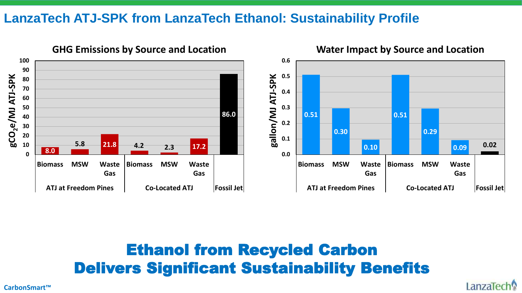### **LanzaTech ATJ-SPK from LanzaTech Ethanol: Sustainability Profile**



#### **GHG Emissions by Source and Location**

Ethanol from Recycled Carbon Delivers Significant Sustainability Benefits

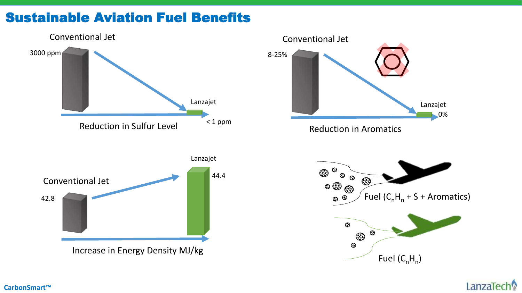## Sustainable Aviation Fuel Benefits



LanzaTech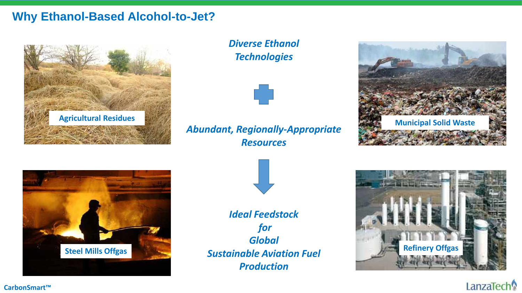#### **Why Ethanol-Based Alcohol-to-Jet?**



*Diverse Ethanol Technologies*



#### *Abundant, Regionally-Appropriate Resources*







*Ideal Feedstock for Global Production*



#### LanzaTech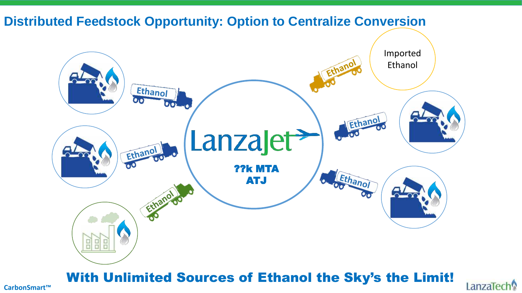

## With Unlimited Sources of Ethanol the Sky's the Limit!

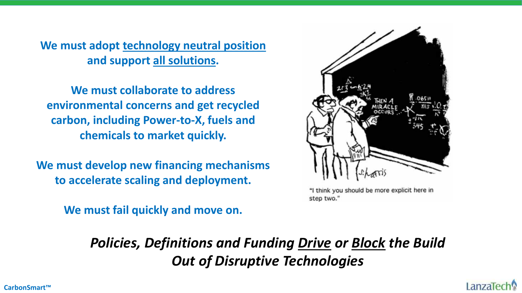**We must adopt technology neutral position and support all solutions.** 

**We must collaborate to address environmental concerns and get recycled carbon, including Power-to-X, fuels and chemicals to market quickly.** 

**We must develop new financing mechanisms to accelerate scaling and deployment.** 

**We must fail quickly and move on.** 



"I think you should be more explicit here in step two."

*Policies, Definitions and Funding Drive or Block the Build Out of Disruptive Technologies*